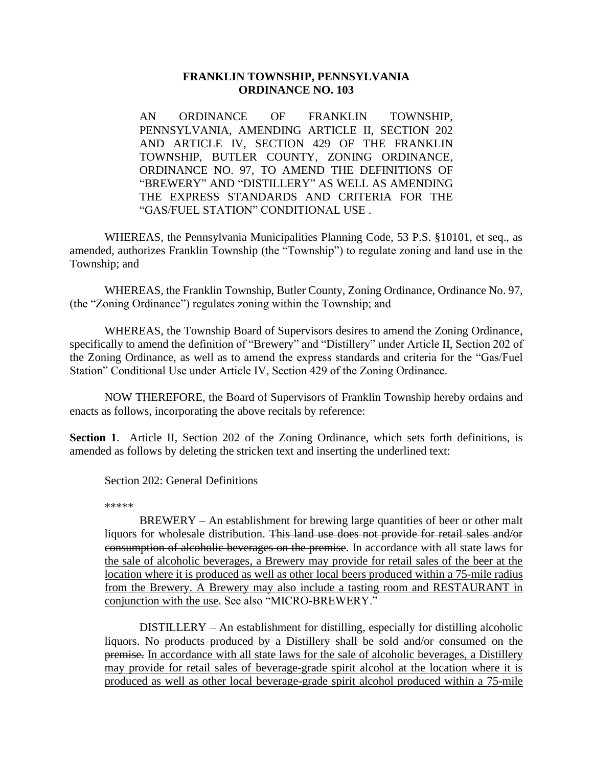## **FRANKLIN TOWNSHIP, PENNSYLVANIA ORDINANCE NO. 103**

AN ORDINANCE OF FRANKLIN TOWNSHIP, PENNSYLVANIA, AMENDING ARTICLE II, SECTION 202 AND ARTICLE IV, SECTION 429 OF THE FRANKLIN TOWNSHIP, BUTLER COUNTY, ZONING ORDINANCE, ORDINANCE NO. 97, TO AMEND THE DEFINITIONS OF "BREWERY" AND "DISTILLERY" AS WELL AS AMENDING THE EXPRESS STANDARDS AND CRITERIA FOR THE "GAS/FUEL STATION" CONDITIONAL USE .

WHEREAS, the Pennsylvania Municipalities Planning Code, 53 P.S. §10101, et seq., as amended, authorizes Franklin Township (the "Township") to regulate zoning and land use in the Township; and

WHEREAS, the Franklin Township, Butler County, Zoning Ordinance, Ordinance No. 97, (the "Zoning Ordinance") regulates zoning within the Township; and

WHEREAS, the Township Board of Supervisors desires to amend the Zoning Ordinance, specifically to amend the definition of "Brewery" and "Distillery" under Article II, Section 202 of the Zoning Ordinance, as well as to amend the express standards and criteria for the "Gas/Fuel Station" Conditional Use under Article IV, Section 429 of the Zoning Ordinance.

NOW THEREFORE, the Board of Supervisors of Franklin Township hereby ordains and enacts as follows, incorporating the above recitals by reference:

**Section 1**. Article II, Section 202 of the Zoning Ordinance, which sets forth definitions, is amended as follows by deleting the stricken text and inserting the underlined text:

Section 202: General Definitions

\*\*\*\*\*

BREWERY – An establishment for brewing large quantities of beer or other malt liquors for wholesale distribution. This land use does not provide for retail sales and/or consumption of alcoholic beverages on the premise. In accordance with all state laws for the sale of alcoholic beverages, a Brewery may provide for retail sales of the beer at the location where it is produced as well as other local beers produced within a 75-mile radius from the Brewery. A Brewery may also include a tasting room and RESTAURANT in conjunction with the use. See also "MICRO-BREWERY."

DISTILLERY – An establishment for distilling, especially for distilling alcoholic liquors. No products produced by a Distillery shall be sold and/or consumed on the premise. In accordance with all state laws for the sale of alcoholic beverages, a Distillery may provide for retail sales of beverage-grade spirit alcohol at the location where it is produced as well as other local beverage-grade spirit alcohol produced within a 75-mile